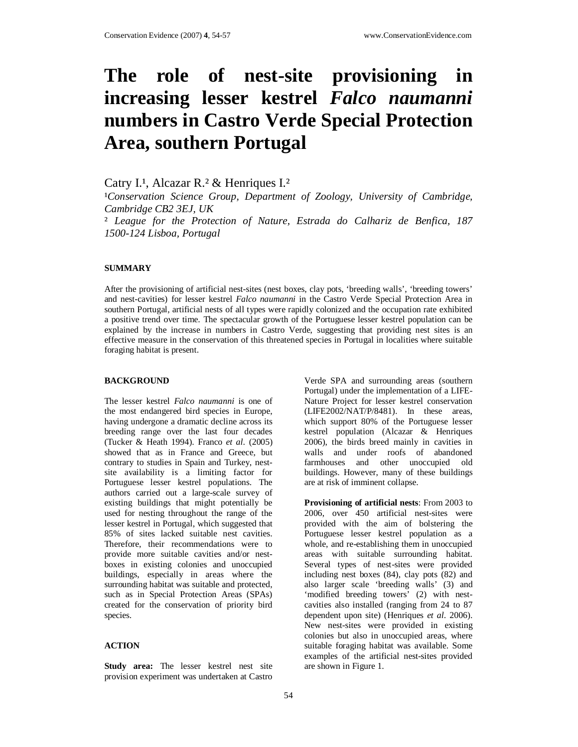# **The role of nest-site provisioning in increasing lesser kestrel** *Falco naumanni*  **numbers in Castro Verde Special Protection Area, southern Portugal**

# Catry I.<sup>1</sup>, Alcazar R.<sup>2</sup> & Henriques I.<sup>2</sup>

<sup>1</sup>Conservation Science Group, Department of Zoology, University of Cambridge, *Cambridge CB2 3EJ, UK*

² *League for the Protection of Nature, Estrada do Calhariz de Benfica, 187 1500-124 Lisboa, Portugal*

#### **SUMMARY**

After the provisioning of artificial nest-sites (nest boxes, clay pots, 'breeding walls', 'breeding towers' and nest-cavities) for lesser kestrel *Falco naumanni* in the Castro Verde Special Protection Area in southern Portugal, artificial nests of all types were rapidly colonized and the occupation rate exhibited a positive trend over time. The spectacular growth of the Portuguese lesser kestrel population can be explained by the increase in numbers in Castro Verde, suggesting that providing nest sites is an effective measure in the conservation of this threatened species in Portugal in localities where suitable foraging habitat is present.

#### **BACKGROUND**

The lesser kestrel *Falco naumanni* is one of the most endangered bird species in Europe, having undergone a dramatic decline across its breeding range over the last four decades (Tucker & Heath 1994). Franco *et al*. (2005) showed that as in France and Greece, but contrary to studies in Spain and Turkey, nestsite availability is a limiting factor for Portuguese lesser kestrel populations. The authors carried out a large-scale survey of existing buildings that might potentially be used for nesting throughout the range of the lesser kestrel in Portugal, which suggested that 85% of sites lacked suitable nest cavities. Therefore, their recommendations were to provide more suitable cavities and/or nestboxes in existing colonies and unoccupied buildings, especially in areas where the surrounding habitat was suitable and protected, such as in Special Protection Areas (SPAs) created for the conservation of priority bird species.

#### **ACTION**

**Study area:** The lesser kestrel nest site provision experiment was undertaken at Castro Verde SPA and surrounding areas (southern Portugal) under the implementation of a LIFE-Nature Project for lesser kestrel conservation (LIFE2002/NAT/P/8481). In these areas, which support 80% of the Portuguese lesser kestrel population (Alcazar & Henriques 2006), the birds breed mainly in cavities in walls and under roofs of abandoned farmhouses and other unoccupied old buildings. However, many of these buildings are at risk of imminent collapse.

**Provisioning of artificial nests**: From 2003 to 2006, over 450 artificial nest-sites were provided with the aim of bolstering the Portuguese lesser kestrel population as a whole, and re-establishing them in unoccupied areas with suitable surrounding habitat. Several types of nest-sites were provided including nest boxes (84), clay pots (82) and also larger scale 'breeding walls' (3) and 'modified breeding towers' (2) with nestcavities also installed (ranging from 24 to 87 dependent upon site) (Henriques *et al*. 2006). New nest-sites were provided in existing colonies but also in unoccupied areas, where suitable foraging habitat was available. Some examples of the artificial nest-sites provided are shown in Figure 1.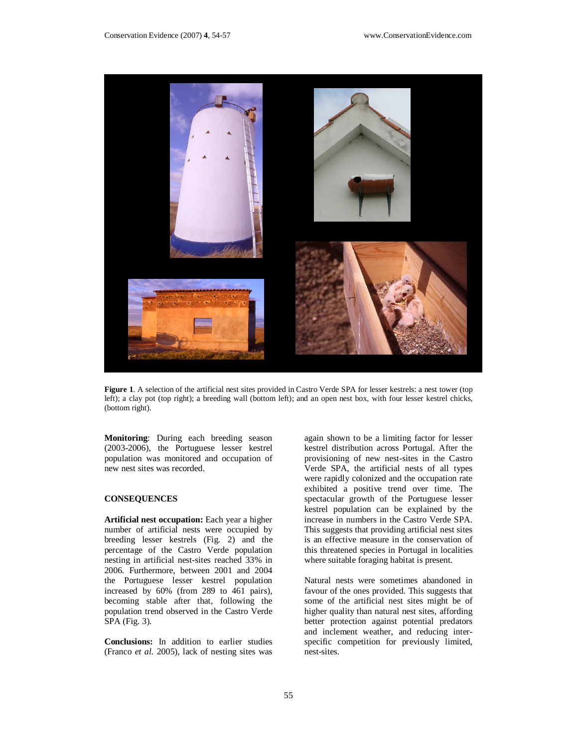

**Figure 1**. A selection of the artificial nest sites provided in Castro Verde SPA for lesser kestrels: a nest tower (top left); a clay pot (top right); a breeding wall (bottom left); and an open nest box, with four lesser kestrel chicks, (bottom right).

**Monitoring**: During each breeding season (2003-2006), the Portuguese lesser kestrel population was monitored and occupation of new nest sites was recorded.

## **CONSEQUENCES**

**Artificial nest occupation:** Each year a higher number of artificial nests were occupied by breeding lesser kestrels (Fig. 2) and the percentage of the Castro Verde population nesting in artificial nest-sites reached 33% in 2006. Furthermore, between 2001 and 2004 the Portuguese lesser kestrel population increased by 60% (from 289 to 461 pairs), becoming stable after that, following the population trend observed in the Castro Verde SPA (Fig. 3).

**Conclusions:** In addition to earlier studies (Franco *et al.* 2005), lack of nesting sites was

again shown to be a limiting factor for lesser kestrel distribution across Portugal. After the provisioning of new nest-sites in the Castro Verde SPA, the artificial nests of all types were rapidly colonized and the occupation rate exhibited a positive trend over time. The spectacular growth of the Portuguese lesser kestrel population can be explained by the increase in numbers in the Castro Verde SPA. This suggests that providing artificial nest sites is an effective measure in the conservation of this threatened species in Portugal in localities where suitable foraging habitat is present.

Natural nests were sometimes abandoned in favour of the ones provided. This suggests that some of the artificial nest sites might be of higher quality than natural nest sites, affording better protection against potential predators and inclement weather, and reducing interspecific competition for previously limited, nest-sites.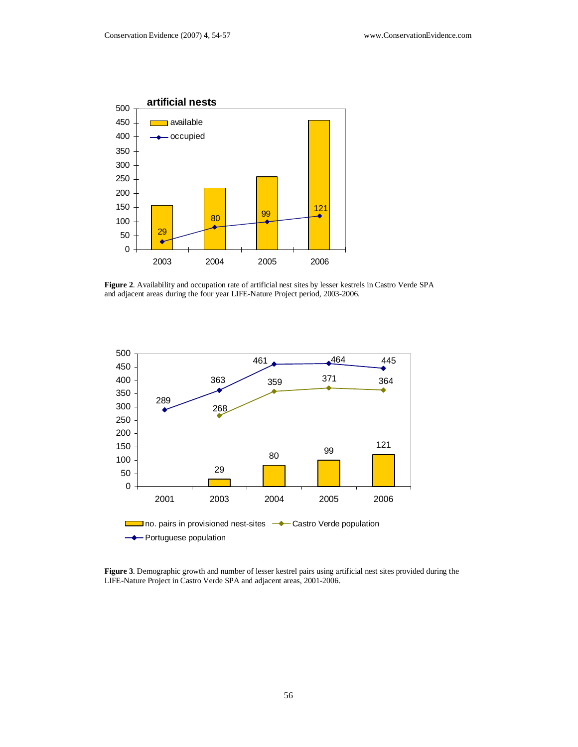

**Figure 2**. Availability and occupation rate of artificial nest sites by lesser kestrels in Castro Verde SPA and adjacent areas during the four year LIFE-Nature Project period, 2003-2006.



**Figure 3**. Demographic growth and number of lesser kestrel pairs using artificial nest sites provided during the LIFE-Nature Project in Castro Verde SPA and adjacent areas, 2001-2006.